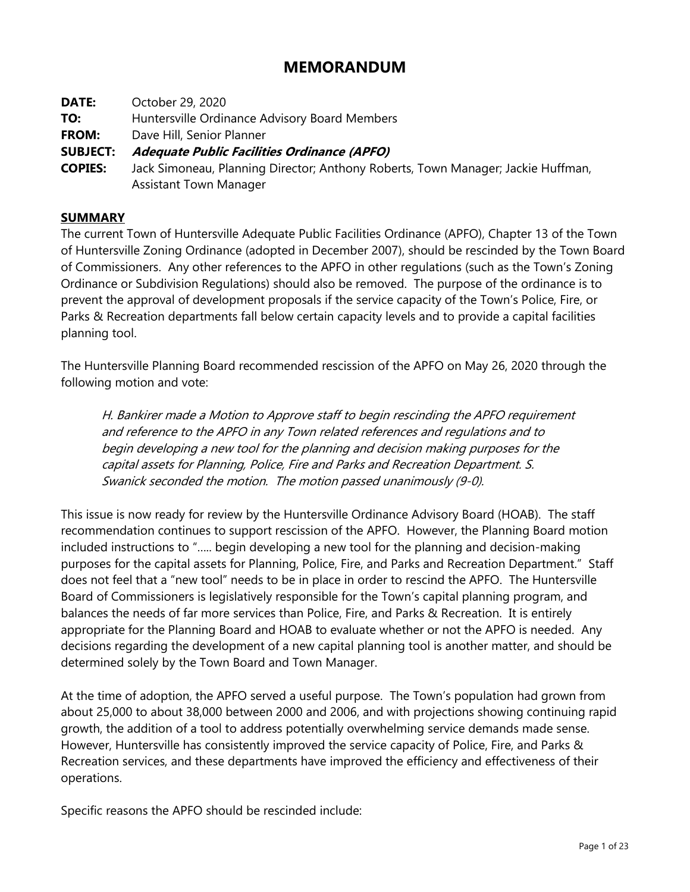# **MEMORANDUM**

- **DATE:** October 29, 2020
- **TO:** Huntersville Ordinance Advisory Board Members
- **FROM:** Dave Hill, Senior Planner

### **SUBJECT: Adequate Public Facilities Ordinance (APFO)**

**COPIES:** Jack Simoneau, Planning Director; Anthony Roberts, Town Manager; Jackie Huffman, Assistant Town Manager

#### **SUMMARY**

The current Town of Huntersville Adequate Public Facilities Ordinance (APFO), Chapter 13 of the Town of Huntersville Zoning Ordinance (adopted in December 2007), should be rescinded by the Town Board of Commissioners. Any other references to the APFO in other regulations (such as the Town's Zoning Ordinance or Subdivision Regulations) should also be removed. The purpose of the ordinance is to prevent the approval of development proposals if the service capacity of the Town's Police, Fire, or Parks & Recreation departments fall below certain capacity levels and to provide a capital facilities planning tool.

The Huntersville Planning Board recommended rescission of the APFO on May 26, 2020 through the following motion and vote:

H. Bankirer made a Motion to Approve staff to begin rescinding the APFO requirement and reference to the APFO in any Town related references and regulations and to begin developing a new tool for the planning and decision making purposes for the capital assets for Planning, Police, Fire and Parks and Recreation Department. S. Swanick seconded the motion. The motion passed unanimously (9-0).

This issue is now ready for review by the Huntersville Ordinance Advisory Board (HOAB). The staff recommendation continues to support rescission of the APFO. However, the Planning Board motion included instructions to "….. begin developing a new tool for the planning and decision-making purposes for the capital assets for Planning, Police, Fire, and Parks and Recreation Department." Staff does not feel that a "new tool" needs to be in place in order to rescind the APFO. The Huntersville Board of Commissioners is legislatively responsible for the Town's capital planning program, and balances the needs of far more services than Police, Fire, and Parks & Recreation. It is entirely appropriate for the Planning Board and HOAB to evaluate whether or not the APFO is needed. Any decisions regarding the development of a new capital planning tool is another matter, and should be determined solely by the Town Board and Town Manager.

At the time of adoption, the APFO served a useful purpose. The Town's population had grown from about 25,000 to about 38,000 between 2000 and 2006, and with projections showing continuing rapid growth, the addition of a tool to address potentially overwhelming service demands made sense. However, Huntersville has consistently improved the service capacity of Police, Fire, and Parks & Recreation services, and these departments have improved the efficiency and effectiveness of their operations.

Specific reasons the APFO should be rescinded include: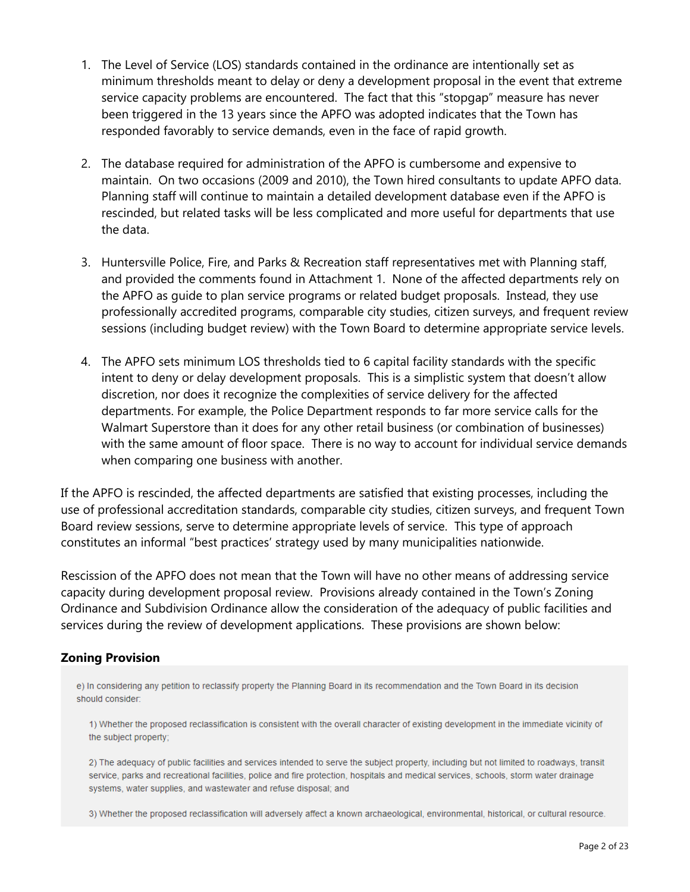- 1. The Level of Service (LOS) standards contained in the ordinance are intentionally set as minimum thresholds meant to delay or deny a development proposal in the event that extreme service capacity problems are encountered. The fact that this "stopgap" measure has never been triggered in the 13 years since the APFO was adopted indicates that the Town has responded favorably to service demands, even in the face of rapid growth.
- 2. The database required for administration of the APFO is cumbersome and expensive to maintain. On two occasions (2009 and 2010), the Town hired consultants to update APFO data. Planning staff will continue to maintain a detailed development database even if the APFO is rescinded, but related tasks will be less complicated and more useful for departments that use the data.
- 3. Huntersville Police, Fire, and Parks & Recreation staff representatives met with Planning staff, and provided the comments found in Attachment 1. None of the affected departments rely on the APFO as guide to plan service programs or related budget proposals. Instead, they use professionally accredited programs, comparable city studies, citizen surveys, and frequent review sessions (including budget review) with the Town Board to determine appropriate service levels.
- 4. The APFO sets minimum LOS thresholds tied to 6 capital facility standards with the specific intent to deny or delay development proposals. This is a simplistic system that doesn't allow discretion, nor does it recognize the complexities of service delivery for the affected departments. For example, the Police Department responds to far more service calls for the Walmart Superstore than it does for any other retail business (or combination of businesses) with the same amount of floor space. There is no way to account for individual service demands when comparing one business with another.

If the APFO is rescinded, the affected departments are satisfied that existing processes, including the use of professional accreditation standards, comparable city studies, citizen surveys, and frequent Town Board review sessions, serve to determine appropriate levels of service. This type of approach constitutes an informal "best practices' strategy used by many municipalities nationwide.

Rescission of the APFO does not mean that the Town will have no other means of addressing service capacity during development proposal review. Provisions already contained in the Town's Zoning Ordinance and Subdivision Ordinance allow the consideration of the adequacy of public facilities and services during the review of development applications. These provisions are shown below:

### **Zoning Provision**

e) In considering any petition to reclassify property the Planning Board in its recommendation and the Town Board in its decision should consider:

1) Whether the proposed reclassification is consistent with the overall character of existing development in the immediate vicinity of the subject property;

2) The adequacy of public facilities and services intended to serve the subject property, including but not limited to roadways, transit service, parks and recreational facilities, police and fire protection, hospitals and medical services, schools, storm water drainage systems, water supplies, and wastewater and refuse disposal; and

3) Whether the proposed reclassification will adversely affect a known archaeological, environmental, historical, or cultural resource.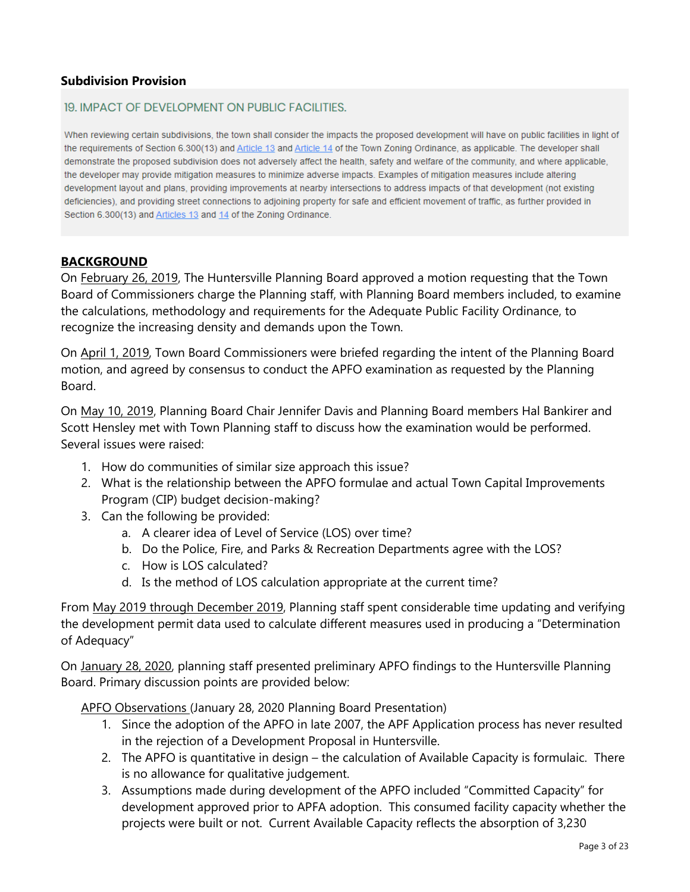### **Subdivision Provision**

#### 19. IMPACT OF DEVELOPMENT ON PUBLIC FACILITIES.

When reviewing certain subdivisions, the town shall consider the impacts the proposed development will have on public facilities in light of the requirements of Section 6.300(13) and Article 13 and Article 14 of the Town Zoning Ordinance, as applicable. The developer shall demonstrate the proposed subdivision does not adversely affect the health, safety and welfare of the community, and where applicable, the developer may provide mitigation measures to minimize adverse impacts. Examples of mitigation measures include altering development layout and plans, providing improvements at nearby intersections to address impacts of that development (not existing deficiencies), and providing street connections to adjoining property for safe and efficient movement of traffic, as further provided in Section 6.300(13) and Articles 13 and 14 of the Zoning Ordinance.

#### **BACKGROUND**

On February 26, 2019, The Huntersville Planning Board approved a motion requesting that the Town Board of Commissioners charge the Planning staff, with Planning Board members included, to examine the calculations, methodology and requirements for the Adequate Public Facility Ordinance, to recognize the increasing density and demands upon the Town.

On April 1, 2019, Town Board Commissioners were briefed regarding the intent of the Planning Board motion, and agreed by consensus to conduct the APFO examination as requested by the Planning Board.

On May 10, 2019, Planning Board Chair Jennifer Davis and Planning Board members Hal Bankirer and Scott Hensley met with Town Planning staff to discuss how the examination would be performed. Several issues were raised:

- 1. How do communities of similar size approach this issue?
- 2. What is the relationship between the APFO formulae and actual Town Capital Improvements Program (CIP) budget decision-making?
- 3. Can the following be provided:
	- a. A clearer idea of Level of Service (LOS) over time?
	- b. Do the Police, Fire, and Parks & Recreation Departments agree with the LOS?
	- c. How is LOS calculated?
	- d. Is the method of LOS calculation appropriate at the current time?

From May 2019 through December 2019, Planning staff spent considerable time updating and verifying the development permit data used to calculate different measures used in producing a "Determination of Adequacy"

On January 28, 2020, planning staff presented preliminary APFO findings to the Huntersville Planning Board. Primary discussion points are provided below:

APFO Observations (January 28, 2020 Planning Board Presentation)

- 1. Since the adoption of the APFO in late 2007, the APF Application process has never resulted in the rejection of a Development Proposal in Huntersville.
- 2. The APFO is quantitative in design the calculation of Available Capacity is formulaic. There is no allowance for qualitative judgement.
- 3. Assumptions made during development of the APFO included "Committed Capacity" for development approved prior to APFA adoption. This consumed facility capacity whether the projects were built or not. Current Available Capacity reflects the absorption of 3,230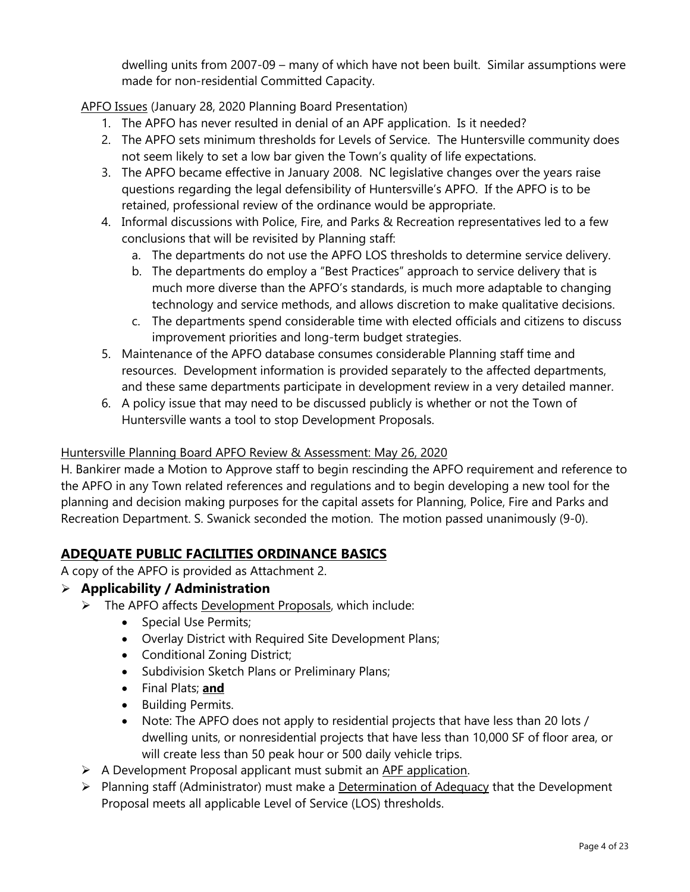dwelling units from 2007-09 – many of which have not been built. Similar assumptions were made for non-residential Committed Capacity.

APFO Issues (January 28, 2020 Planning Board Presentation)

- 1. The APFO has never resulted in denial of an APF application. Is it needed?
- 2. The APFO sets minimum thresholds for Levels of Service. The Huntersville community does not seem likely to set a low bar given the Town's quality of life expectations.
- 3. The APFO became effective in January 2008. NC legislative changes over the years raise questions regarding the legal defensibility of Huntersville's APFO. If the APFO is to be retained, professional review of the ordinance would be appropriate.
- 4. Informal discussions with Police, Fire, and Parks & Recreation representatives led to a few conclusions that will be revisited by Planning staff:
	- a. The departments do not use the APFO LOS thresholds to determine service delivery.
	- b. The departments do employ a "Best Practices" approach to service delivery that is much more diverse than the APFO's standards, is much more adaptable to changing technology and service methods, and allows discretion to make qualitative decisions.
	- c. The departments spend considerable time with elected officials and citizens to discuss improvement priorities and long-term budget strategies.
- 5. Maintenance of the APFO database consumes considerable Planning staff time and resources. Development information is provided separately to the affected departments, and these same departments participate in development review in a very detailed manner.
- 6. A policy issue that may need to be discussed publicly is whether or not the Town of Huntersville wants a tool to stop Development Proposals.

# Huntersville Planning Board APFO Review & Assessment: May 26, 2020

H. Bankirer made a Motion to Approve staff to begin rescinding the APFO requirement and reference to the APFO in any Town related references and regulations and to begin developing a new tool for the planning and decision making purposes for the capital assets for Planning, Police, Fire and Parks and Recreation Department. S. Swanick seconded the motion. The motion passed unanimously (9-0).

# **ADEQUATE PUBLIC FACILITIES ORDINANCE BASICS**

A copy of the APFO is provided as Attachment 2.

# ➢ **Applicability / Administration**

- ➢ The APFO affects Development Proposals, which include:
	- Special Use Permits;
	- Overlay District with Required Site Development Plans;
	- Conditional Zoning District;
	- Subdivision Sketch Plans or Preliminary Plans;
	- Final Plats; **and**
	- Building Permits.
	- Note: The APFO does not apply to residential projects that have less than 20 lots / dwelling units, or nonresidential projects that have less than 10,000 SF of floor area, or will create less than 50 peak hour or 500 daily vehicle trips.
- ➢ A Development Proposal applicant must submit an APF application.
- ➢ Planning staff (Administrator) must make a Determination of Adequacy that the Development Proposal meets all applicable Level of Service (LOS) thresholds.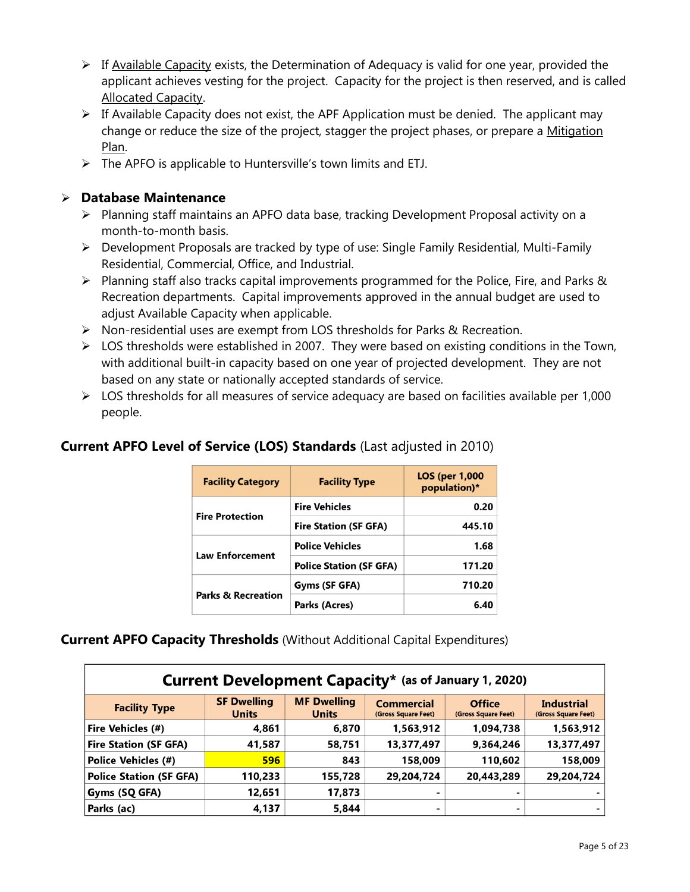- $\triangleright$  If Available Capacity exists, the Determination of Adequacy is valid for one year, provided the applicant achieves vesting for the project. Capacity for the project is then reserved, and is called Allocated Capacity.
- $\triangleright$  If Available Capacity does not exist, the APF Application must be denied. The applicant may change or reduce the size of the project, stagger the project phases, or prepare a Mitigation Plan.
- $\triangleright$  The APFO is applicable to Huntersville's town limits and ETJ.

### ➢ **Database Maintenance**

- ➢ Planning staff maintains an APFO data base, tracking Development Proposal activity on a month-to-month basis.
- ➢ Development Proposals are tracked by type of use: Single Family Residential, Multi-Family Residential, Commercial, Office, and Industrial.
- $\triangleright$  Planning staff also tracks capital improvements programmed for the Police, Fire, and Parks & Recreation departments. Capital improvements approved in the annual budget are used to adjust Available Capacity when applicable.
- ➢ Non-residential uses are exempt from LOS thresholds for Parks & Recreation.
- $\triangleright$  LOS thresholds were established in 2007. They were based on existing conditions in the Town, with additional built-in capacity based on one year of projected development. They are not based on any state or nationally accepted standards of service.
- ➢ LOS thresholds for all measures of service adequacy are based on facilities available per 1,000 people.

# **Current APFO Level of Service (LOS) Standards** (Last adjusted in 2010)

| <b>Facility Category</b>      | <b>Facility Type</b>           | <b>LOS (per 1,000)</b><br>population)* |  |
|-------------------------------|--------------------------------|----------------------------------------|--|
| <b>Fire Protection</b>        | <b>Fire Vehicles</b>           | 0.20                                   |  |
|                               | <b>Fire Station (SF GFA)</b>   | 445.10                                 |  |
| <b>Law Enforcement</b>        | <b>Police Vehicles</b>         | 1.68                                   |  |
|                               | <b>Police Station (SF GFA)</b> | 171.20                                 |  |
| <b>Parks &amp; Recreation</b> | Gyms (SF GFA)                  | 710.20                                 |  |
|                               | Parks (Acres)                  | 6.40                                   |  |

# **Current APFO Capacity Thresholds** (Without Additional Capital Expenditures)

| <b>Current Development Capacity*</b> (as of January 1, 2020) |                                    |                                    |                                          |                                      |                                          |
|--------------------------------------------------------------|------------------------------------|------------------------------------|------------------------------------------|--------------------------------------|------------------------------------------|
| <b>Facility Type</b>                                         | <b>SF Dwelling</b><br><b>Units</b> | <b>MF Dwelling</b><br><b>Units</b> | <b>Commercial</b><br>(Gross Square Feet) | <b>Office</b><br>(Gross Square Feet) | <b>Industrial</b><br>(Gross Square Feet) |
| Fire Vehicles (#)                                            | 4,861                              | 6,870                              | 1,563,912                                | 1,094,738                            | 1,563,912                                |
| <b>Fire Station (SF GFA)</b>                                 | 41,587                             | 58,751                             | 13,377,497                               | 9,364,246                            | 13,377,497                               |
| <b>Police Vehicles (#)</b>                                   | 596                                | 843                                | 158,009                                  | 110,602                              | 158,009                                  |
| <b>Police Station (SF GFA)</b>                               | 110,233                            | 155,728                            | 29,204,724                               | 20,443,289                           | 29,204,724                               |
| Gyms (SQ GFA)                                                | 12,651                             | 17,873                             | -                                        | $\blacksquare$                       |                                          |
| Parks (ac)                                                   | 4,137                              | 5,844                              | -                                        | -                                    |                                          |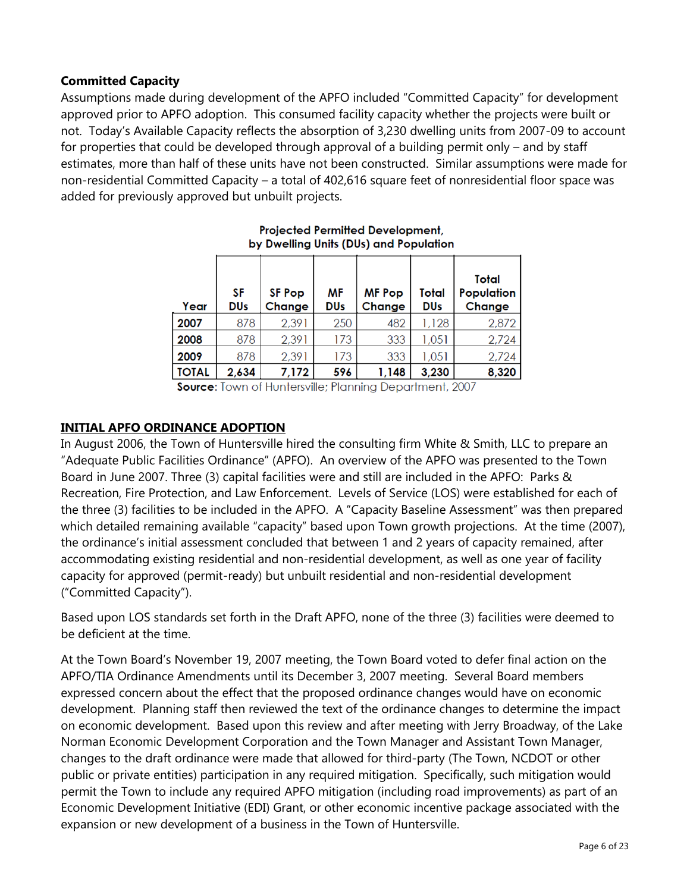### **Committed Capacity**

Assumptions made during development of the APFO included "Committed Capacity" for development approved prior to APFO adoption. This consumed facility capacity whether the projects were built or not. Today's Available Capacity reflects the absorption of 3,230 dwelling units from 2007-09 to account for properties that could be developed through approval of a building permit only – and by staff estimates, more than half of these units have not been constructed. Similar assumptions were made for non-residential Committed Capacity – a total of 402,616 square feet of nonresidential floor space was added for previously approved but unbuilt projects.

| Year         | SF<br><b>DUs</b> | <b>SF Pop</b><br>Change | ΜF<br><b>DUs</b> | <b>MF Pop</b><br>Change | Total<br><b>DUs</b> | Total<br>Population<br>Change |
|--------------|------------------|-------------------------|------------------|-------------------------|---------------------|-------------------------------|
| 2007         | 878              | 2,391                   | 250              | 482                     | 1,128               | 2,872                         |
| 2008         | 878              | 2,391                   | 173              | 333                     | 1,051               | 2,724                         |
| 2009         | 878              | 2,391                   | 173              | 333                     | 1,051               | 2,724                         |
| <b>TOTAL</b> | 2,634            | 7,172                   | 596              | 1,148                   | 3,230               | 8,320                         |

**Projected Permitted Development.** by Dwelling Units (DUs) and Population

**Source:** Town of Huntersville; Planning Department, 2007

### **INITIAL APFO ORDINANCE ADOPTION**

In August 2006, the Town of Huntersville hired the consulting firm White & Smith, LLC to prepare an "Adequate Public Facilities Ordinance" (APFO). An overview of the APFO was presented to the Town Board in June 2007. Three (3) capital facilities were and still are included in the APFO: Parks & Recreation, Fire Protection, and Law Enforcement. Levels of Service (LOS) were established for each of the three (3) facilities to be included in the APFO. A "Capacity Baseline Assessment" was then prepared which detailed remaining available "capacity" based upon Town growth projections. At the time (2007), the ordinance's initial assessment concluded that between 1 and 2 years of capacity remained, after accommodating existing residential and non-residential development, as well as one year of facility capacity for approved (permit-ready) but unbuilt residential and non-residential development ("Committed Capacity").

Based upon LOS standards set forth in the Draft APFO, none of the three (3) facilities were deemed to be deficient at the time.

At the Town Board's November 19, 2007 meeting, the Town Board voted to defer final action on the APFO/TIA Ordinance Amendments until its December 3, 2007 meeting. Several Board members expressed concern about the effect that the proposed ordinance changes would have on economic development. Planning staff then reviewed the text of the ordinance changes to determine the impact on economic development. Based upon this review and after meeting with Jerry Broadway, of the Lake Norman Economic Development Corporation and the Town Manager and Assistant Town Manager, changes to the draft ordinance were made that allowed for third-party (The Town, NCDOT or other public or private entities) participation in any required mitigation. Specifically, such mitigation would permit the Town to include any required APFO mitigation (including road improvements) as part of an Economic Development Initiative (EDI) Grant, or other economic incentive package associated with the expansion or new development of a business in the Town of Huntersville.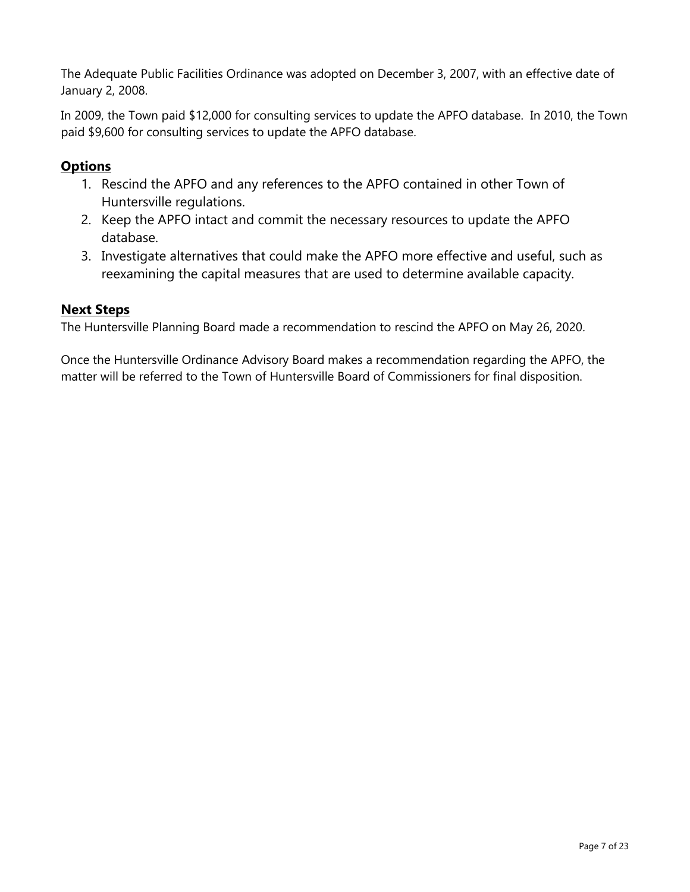The Adequate Public Facilities Ordinance was adopted on December 3, 2007, with an effective date of January 2, 2008.

In 2009, the Town paid \$12,000 for consulting services to update the APFO database. In 2010, the Town paid \$9,600 for consulting services to update the APFO database.

# **Options**

- 1. Rescind the APFO and any references to the APFO contained in other Town of Huntersville regulations.
- 2. Keep the APFO intact and commit the necessary resources to update the APFO database.
- 3. Investigate alternatives that could make the APFO more effective and useful, such as reexamining the capital measures that are used to determine available capacity.

### **Next Steps**

The Huntersville Planning Board made a recommendation to rescind the APFO on May 26, 2020.

Once the Huntersville Ordinance Advisory Board makes a recommendation regarding the APFO, the matter will be referred to the Town of Huntersville Board of Commissioners for final disposition.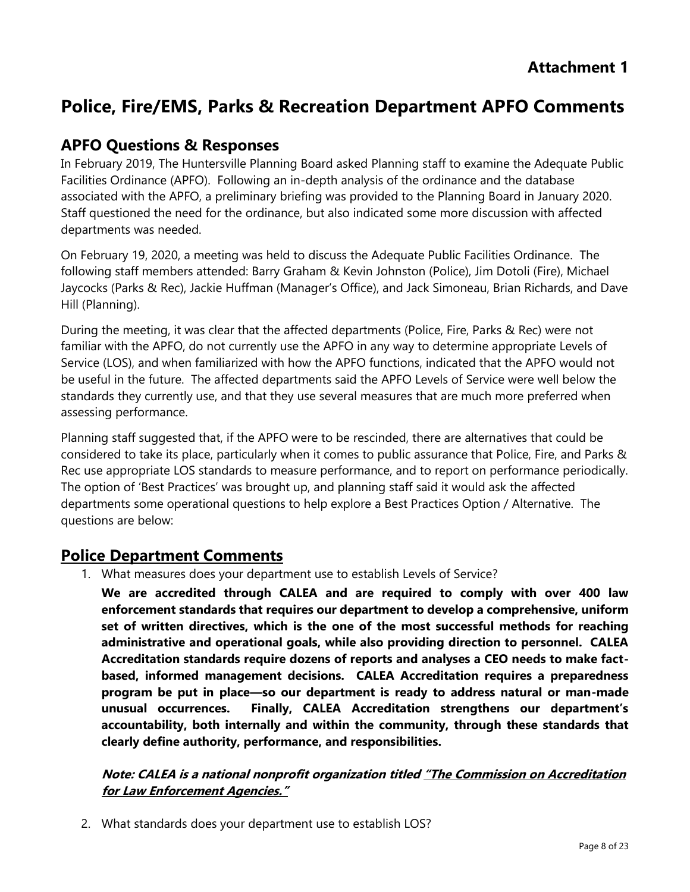# **Police, Fire/EMS, Parks & Recreation Department APFO Comments**

# **APFO Questions & Responses**

In February 2019, The Huntersville Planning Board asked Planning staff to examine the Adequate Public Facilities Ordinance (APFO). Following an in-depth analysis of the ordinance and the database associated with the APFO, a preliminary briefing was provided to the Planning Board in January 2020. Staff questioned the need for the ordinance, but also indicated some more discussion with affected departments was needed.

On February 19, 2020, a meeting was held to discuss the Adequate Public Facilities Ordinance. The following staff members attended: Barry Graham & Kevin Johnston (Police), Jim Dotoli (Fire), Michael Jaycocks (Parks & Rec), Jackie Huffman (Manager's Office), and Jack Simoneau, Brian Richards, and Dave Hill (Planning).

During the meeting, it was clear that the affected departments (Police, Fire, Parks & Rec) were not familiar with the APFO, do not currently use the APFO in any way to determine appropriate Levels of Service (LOS), and when familiarized with how the APFO functions, indicated that the APFO would not be useful in the future. The affected departments said the APFO Levels of Service were well below the standards they currently use, and that they use several measures that are much more preferred when assessing performance.

Planning staff suggested that, if the APFO were to be rescinded, there are alternatives that could be considered to take its place, particularly when it comes to public assurance that Police, Fire, and Parks & Rec use appropriate LOS standards to measure performance, and to report on performance periodically. The option of 'Best Practices' was brought up, and planning staff said it would ask the affected departments some operational questions to help explore a Best Practices Option / Alternative. The questions are below:

# **Police Department Comments**

1. What measures does your department use to establish Levels of Service?

**We are accredited through CALEA and are required to comply with over 400 law enforcement standards that requires our department to develop a comprehensive, uniform set of written directives, which is the one of the most successful methods for reaching administrative and operational goals, while also providing direction to personnel. CALEA Accreditation standards require dozens of reports and analyses a CEO needs to make factbased, informed management decisions. CALEA Accreditation requires a preparedness program be put in place—so our department is ready to address natural or man-made unusual occurrences. Finally, CALEA Accreditation strengthens our department's accountability, both internally and within the community, through these standards that clearly define authority, performance, and responsibilities.**

# **Note: CALEA is a national nonprofit organization titled "The Commission on Accreditation for Law Enforcement Agencies."**

2. What standards does your department use to establish LOS?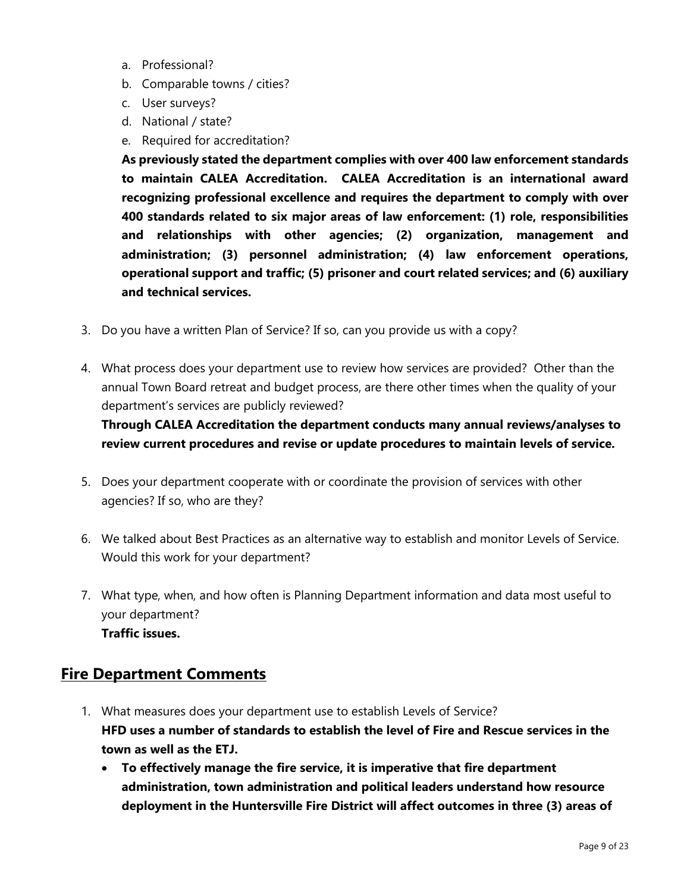- a. Professional?
- b. Comparable towns / cities?
- c. User surveys?
- d. National / state?
- e. Required for accreditation?

**As previously stated the department complies with over 400 law enforcement standards to maintain CALEA Accreditation. CALEA Accreditation is an international award recognizing professional excellence and requires the department to comply with over 400 standards related to six major areas of law enforcement: (1) role, responsibilities and relationships with other agencies; (2) organization, management and administration; (3) personnel administration; (4) law enforcement operations, operational support and traffic; (5) prisoner and court related services; and (6) auxiliary and technical services.**

- 3. Do you have a written Plan of Service? If so, can you provide us with a copy?
- 4. What process does your department use to review how services are provided? Other than the annual Town Board retreat and budget process, are there other times when the quality of your department's services are publicly reviewed?

**Through CALEA Accreditation the department conducts many annual reviews/analyses to review current procedures and revise or update procedures to maintain levels of service.** 

- 5. Does your department cooperate with or coordinate the provision of services with other agencies? If so, who are they?
- 6. We talked about Best Practices as an alternative way to establish and monitor Levels of Service. Would this work for your department?
- 7. What type, when, and how often is Planning Department information and data most useful to your department? **Traffic issues.**

# **Fire Department Comments**

- 1. What measures does your department use to establish Levels of Service? **HFD uses a number of standards to establish the level of Fire and Rescue services in the town as well as the ETJ.** 
	- **To effectively manage the fire service, it is imperative that fire department administration, town administration and political leaders understand how resource deployment in the Huntersville Fire District will affect outcomes in three (3) areas of**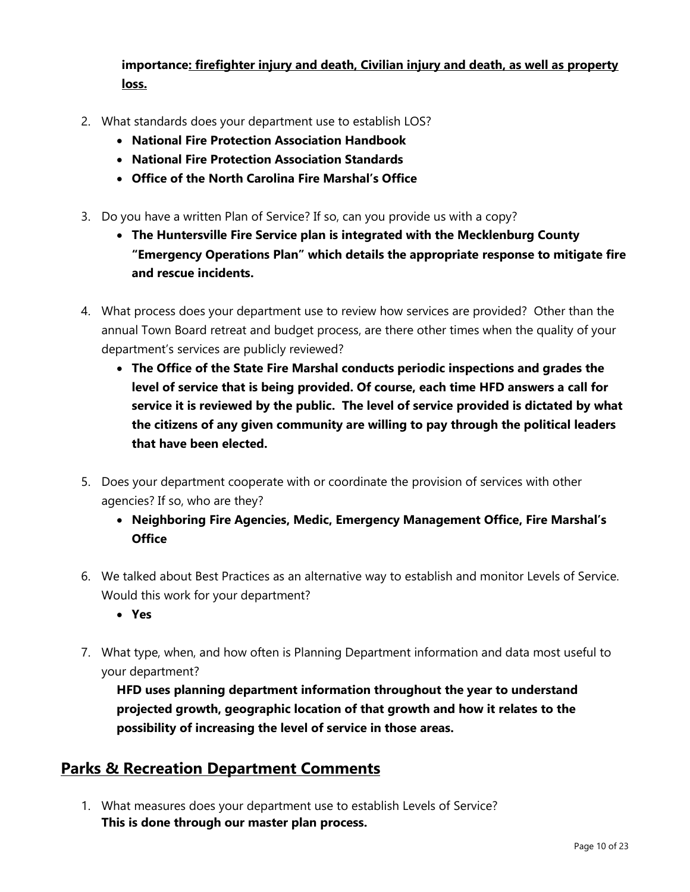**importance: firefighter injury and death, Civilian injury and death, as well as property loss.**

- 2. What standards does your department use to establish LOS?
	- **National Fire Protection Association Handbook**
	- **National Fire Protection Association Standards**
	- **Office of the North Carolina Fire Marshal's Office**
- 3. Do you have a written Plan of Service? If so, can you provide us with a copy?
	- **The Huntersville Fire Service plan is integrated with the Mecklenburg County "Emergency Operations Plan" which details the appropriate response to mitigate fire and rescue incidents.**
- 4. What process does your department use to review how services are provided? Other than the annual Town Board retreat and budget process, are there other times when the quality of your department's services are publicly reviewed?
	- **The Office of the State Fire Marshal conducts periodic inspections and grades the level of service that is being provided. Of course, each time HFD answers a call for service it is reviewed by the public. The level of service provided is dictated by what the citizens of any given community are willing to pay through the political leaders that have been elected.**
- 5. Does your department cooperate with or coordinate the provision of services with other agencies? If so, who are they?
	- **Neighboring Fire Agencies, Medic, Emergency Management Office, Fire Marshal's Office**
- 6. We talked about Best Practices as an alternative way to establish and monitor Levels of Service. Would this work for your department?
	- **Yes**
- 7. What type, when, and how often is Planning Department information and data most useful to your department?

**HFD uses planning department information throughout the year to understand projected growth, geographic location of that growth and how it relates to the possibility of increasing the level of service in those areas.** 

# **Parks & Recreation Department Comments**

1. What measures does your department use to establish Levels of Service? **This is done through our master plan process.**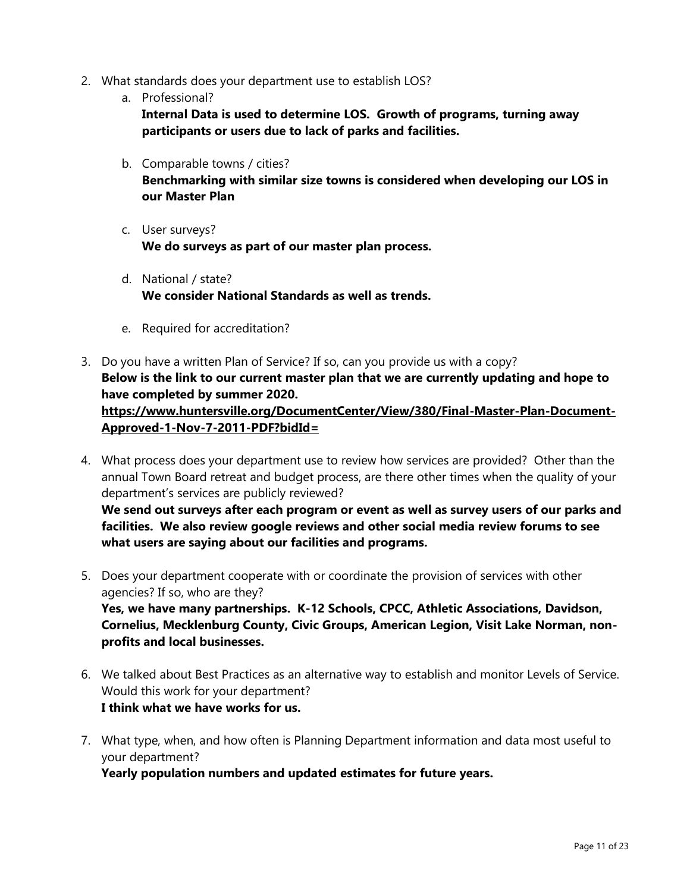- 2. What standards does your department use to establish LOS?
	- a. Professional?

**Internal Data is used to determine LOS. Growth of programs, turning away participants or users due to lack of parks and facilities.** 

- b. Comparable towns / cities? **Benchmarking with similar size towns is considered when developing our LOS in our Master Plan**
- c. User surveys? **We do surveys as part of our master plan process.**
- d. National / state? **We consider National Standards as well as trends.**
- e. Required for accreditation?
- 3. Do you have a written Plan of Service? If so, can you provide us with a copy? **Below is the link to our current master plan that we are currently updating and hope to have completed by summer 2020. [https://www.huntersville.org/DocumentCenter/View/380/Final-Master-Plan-Document-](https://www.huntersville.org/DocumentCenter/View/380/Final-Master-Plan-Document-Approved-1-Nov-7-2011-PDF?bidId=)[Approved-1-Nov-7-2011-PDF?bidId=](https://www.huntersville.org/DocumentCenter/View/380/Final-Master-Plan-Document-Approved-1-Nov-7-2011-PDF?bidId=)**
- 4. What process does your department use to review how services are provided? Other than the annual Town Board retreat and budget process, are there other times when the quality of your department's services are publicly reviewed? **We send out surveys after each program or event as well as survey users of our parks and**

**facilities. We also review google reviews and other social media review forums to see what users are saying about our facilities and programs.** 

5. Does your department cooperate with or coordinate the provision of services with other agencies? If so, who are they? **Yes, we have many partnerships. K-12 Schools, CPCC, Athletic Associations, Davidson,** 

**Cornelius, Mecklenburg County, Civic Groups, American Legion, Visit Lake Norman, nonprofits and local businesses.** 

- 6. We talked about Best Practices as an alternative way to establish and monitor Levels of Service. Would this work for your department? **I think what we have works for us.**
- 7. What type, when, and how often is Planning Department information and data most useful to your department?

**Yearly population numbers and updated estimates for future years.**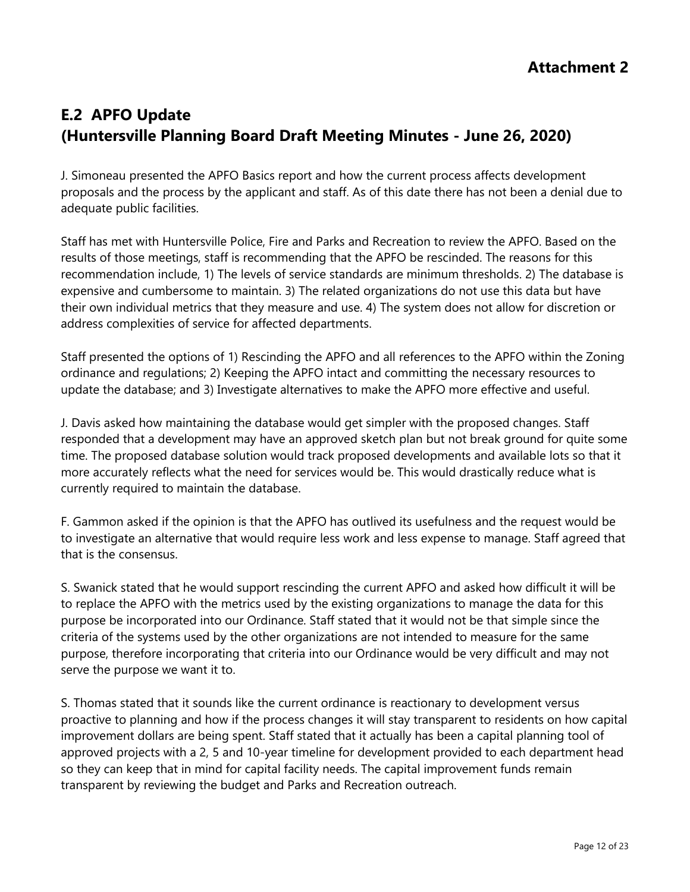# **E.2 APFO Update (Huntersville Planning Board Draft Meeting Minutes - June 26, 2020)**

J. Simoneau presented the APFO Basics report and how the current process affects development proposals and the process by the applicant and staff. As of this date there has not been a denial due to adequate public facilities.

Staff has met with Huntersville Police, Fire and Parks and Recreation to review the APFO. Based on the results of those meetings, staff is recommending that the APFO be rescinded. The reasons for this recommendation include, 1) The levels of service standards are minimum thresholds. 2) The database is expensive and cumbersome to maintain. 3) The related organizations do not use this data but have their own individual metrics that they measure and use. 4) The system does not allow for discretion or address complexities of service for affected departments.

Staff presented the options of 1) Rescinding the APFO and all references to the APFO within the Zoning ordinance and regulations; 2) Keeping the APFO intact and committing the necessary resources to update the database; and 3) Investigate alternatives to make the APFO more effective and useful.

J. Davis asked how maintaining the database would get simpler with the proposed changes. Staff responded that a development may have an approved sketch plan but not break ground for quite some time. The proposed database solution would track proposed developments and available lots so that it more accurately reflects what the need for services would be. This would drastically reduce what is currently required to maintain the database.

F. Gammon asked if the opinion is that the APFO has outlived its usefulness and the request would be to investigate an alternative that would require less work and less expense to manage. Staff agreed that that is the consensus.

S. Swanick stated that he would support rescinding the current APFO and asked how difficult it will be to replace the APFO with the metrics used by the existing organizations to manage the data for this purpose be incorporated into our Ordinance. Staff stated that it would not be that simple since the criteria of the systems used by the other organizations are not intended to measure for the same purpose, therefore incorporating that criteria into our Ordinance would be very difficult and may not serve the purpose we want it to.

S. Thomas stated that it sounds like the current ordinance is reactionary to development versus proactive to planning and how if the process changes it will stay transparent to residents on how capital improvement dollars are being spent. Staff stated that it actually has been a capital planning tool of approved projects with a 2, 5 and 10-year timeline for development provided to each department head so they can keep that in mind for capital facility needs. The capital improvement funds remain transparent by reviewing the budget and Parks and Recreation outreach.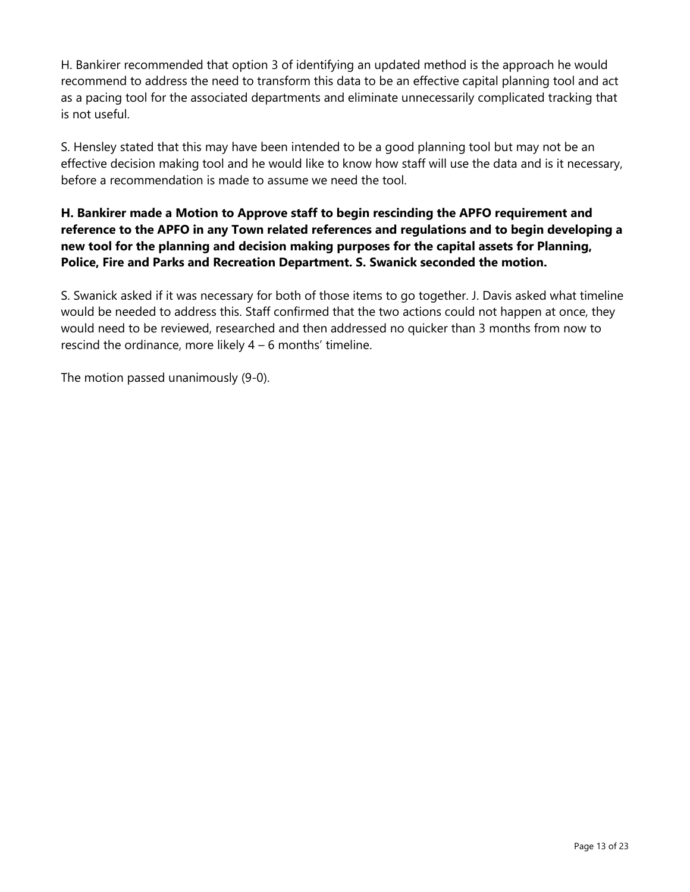H. Bankirer recommended that option 3 of identifying an updated method is the approach he would recommend to address the need to transform this data to be an effective capital planning tool and act as a pacing tool for the associated departments and eliminate unnecessarily complicated tracking that is not useful.

S. Hensley stated that this may have been intended to be a good planning tool but may not be an effective decision making tool and he would like to know how staff will use the data and is it necessary, before a recommendation is made to assume we need the tool.

### **H. Bankirer made a Motion to Approve staff to begin rescinding the APFO requirement and reference to the APFO in any Town related references and regulations and to begin developing a new tool for the planning and decision making purposes for the capital assets for Planning, Police, Fire and Parks and Recreation Department. S. Swanick seconded the motion.**

S. Swanick asked if it was necessary for both of those items to go together. J. Davis asked what timeline would be needed to address this. Staff confirmed that the two actions could not happen at once, they would need to be reviewed, researched and then addressed no quicker than 3 months from now to rescind the ordinance, more likely  $4 - 6$  months' timeline.

The motion passed unanimously (9-0).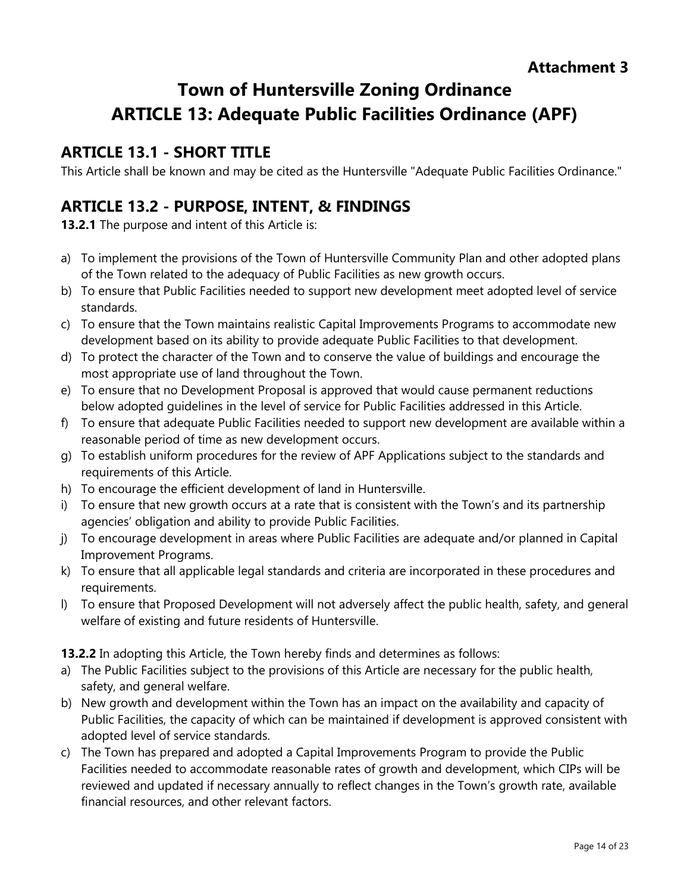# **Town of Huntersville Zoning Ordinance ARTICLE 13: Adequate Public Facilities Ordinance (APF)**

# **ARTICLE 13.1 - SHORT TITLE**

This Article shall be known and may be cited as the Huntersville "Adequate Public Facilities Ordinance."

# **ARTICLE 13.2 - PURPOSE, INTENT, & FINDINGS**

**13.2.1** The purpose and intent of this Article is:

- a) To implement the provisions of the Town of Huntersville Community Plan and other adopted plans of the Town related to the adequacy of Public Facilities as new growth occurs.
- b) To ensure that Public Facilities needed to support new development meet adopted level of service standards.
- c) To ensure that the Town maintains realistic Capital Improvements Programs to accommodate new development based on its ability to provide adequate Public Facilities to that development.
- d) To protect the character of the Town and to conserve the value of buildings and encourage the most appropriate use of land throughout the Town.
- e) To ensure that no Development Proposal is approved that would cause permanent reductions below adopted guidelines in the level of service for Public Facilities addressed in this Article.
- f) To ensure that adequate Public Facilities needed to support new development are available within a reasonable period of time as new development occurs.
- g) To establish uniform procedures for the review of APF Applications subject to the standards and requirements of this Article.
- h) To encourage the efficient development of land in Huntersville.
- To ensure that new growth occurs at a rate that is consistent with the Town's and its partnership agencies' obligation and ability to provide Public Facilities.
- j) To encourage development in areas where Public Facilities are adequate and/or planned in Capital Improvement Programs.
- k) To ensure that all applicable legal standards and criteria are incorporated in these procedures and requirements.
- l) To ensure that Proposed Development will not adversely affect the public health, safety, and general welfare of existing and future residents of Huntersville.

**13.2.2** In adopting this Article, the Town hereby finds and determines as follows:

- a) The Public Facilities subject to the provisions of this Article are necessary for the public health, safety, and general welfare.
- b) New growth and development within the Town has an impact on the availability and capacity of Public Facilities, the capacity of which can be maintained if development is approved consistent with adopted level of service standards.
- c) The Town has prepared and adopted a Capital Improvements Program to provide the Public Facilities needed to accommodate reasonable rates of growth and development, which CIPs will be reviewed and updated if necessary annually to reflect changes in the Town's growth rate, available financial resources, and other relevant factors.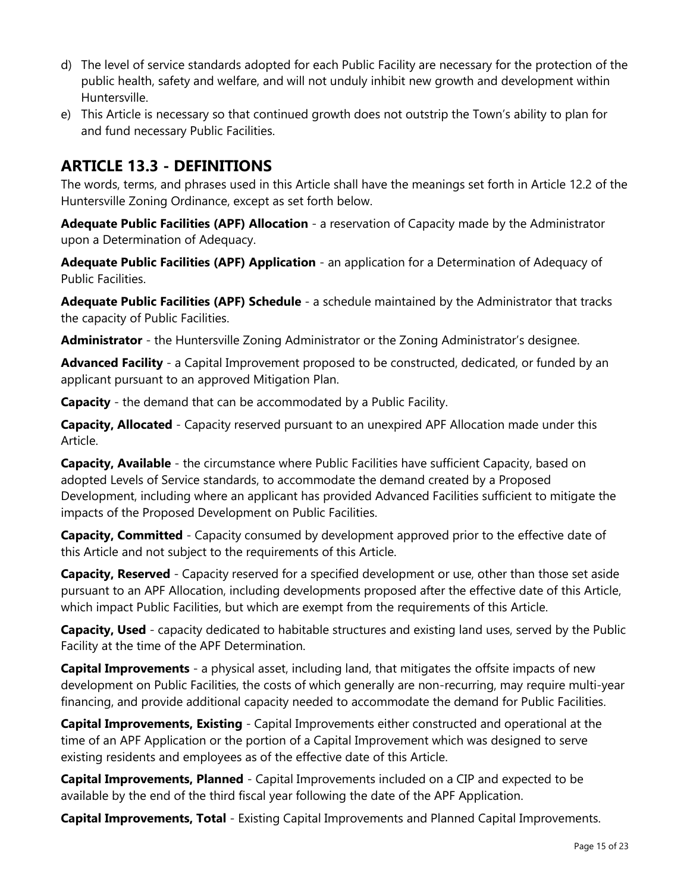- d) The level of service standards adopted for each Public Facility are necessary for the protection of the public health, safety and welfare, and will not unduly inhibit new growth and development within Huntersville.
- e) This Article is necessary so that continued growth does not outstrip the Town's ability to plan for and fund necessary Public Facilities.

# **ARTICLE 13.3 - DEFINITIONS**

The words, terms, and phrases used in this Article shall have the meanings set forth in Article 12.2 of the Huntersville Zoning Ordinance, except as set forth below.

**Adequate Public Facilities (APF) Allocation** - a reservation of Capacity made by the Administrator upon a Determination of Adequacy.

**Adequate Public Facilities (APF) Application** - an application for a Determination of Adequacy of Public Facilities.

**Adequate Public Facilities (APF) Schedule** - a schedule maintained by the Administrator that tracks the capacity of Public Facilities.

**Administrator** - the Huntersville Zoning Administrator or the Zoning Administrator's designee.

**Advanced Facility** - a Capital Improvement proposed to be constructed, dedicated, or funded by an applicant pursuant to an approved Mitigation Plan.

**Capacity** - the demand that can be accommodated by a Public Facility.

**Capacity, Allocated** - Capacity reserved pursuant to an unexpired APF Allocation made under this Article.

**Capacity, Available** - the circumstance where Public Facilities have sufficient Capacity, based on adopted Levels of Service standards, to accommodate the demand created by a Proposed Development, including where an applicant has provided Advanced Facilities sufficient to mitigate the impacts of the Proposed Development on Public Facilities.

**Capacity, Committed** - Capacity consumed by development approved prior to the effective date of this Article and not subject to the requirements of this Article.

**Capacity, Reserved** - Capacity reserved for a specified development or use, other than those set aside pursuant to an APF Allocation, including developments proposed after the effective date of this Article, which impact Public Facilities, but which are exempt from the requirements of this Article.

**Capacity, Used** - capacity dedicated to habitable structures and existing land uses, served by the Public Facility at the time of the APF Determination.

**Capital Improvements** - a physical asset, including land, that mitigates the offsite impacts of new development on Public Facilities, the costs of which generally are non-recurring, may require multi-year financing, and provide additional capacity needed to accommodate the demand for Public Facilities.

**Capital Improvements, Existing** - Capital Improvements either constructed and operational at the time of an APF Application or the portion of a Capital Improvement which was designed to serve existing residents and employees as of the effective date of this Article.

**Capital Improvements, Planned** - Capital Improvements included on a CIP and expected to be available by the end of the third fiscal year following the date of the APF Application.

**Capital Improvements, Total** - Existing Capital Improvements and Planned Capital Improvements.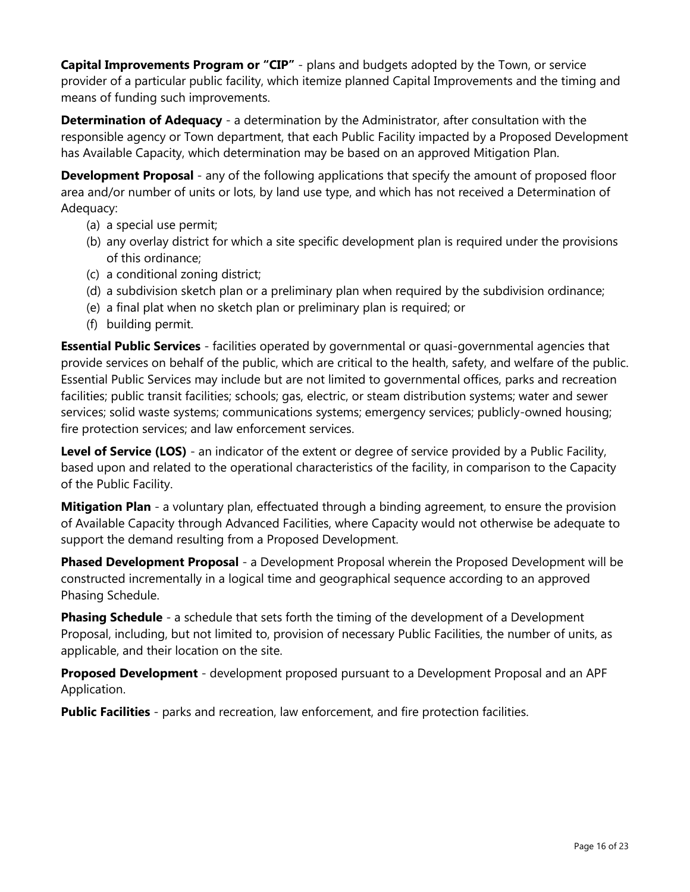**Capital Improvements Program or "CIP"** - plans and budgets adopted by the Town, or service provider of a particular public facility, which itemize planned Capital Improvements and the timing and means of funding such improvements.

**Determination of Adequacy** - a determination by the Administrator, after consultation with the responsible agency or Town department, that each Public Facility impacted by a Proposed Development has Available Capacity, which determination may be based on an approved Mitigation Plan.

**Development Proposal** - any of the following applications that specify the amount of proposed floor area and/or number of units or lots, by land use type, and which has not received a Determination of Adequacy:

- (a) a special use permit;
- (b) any overlay district for which a site specific development plan is required under the provisions of this ordinance;
- (c) a conditional zoning district;
- (d) a subdivision sketch plan or a preliminary plan when required by the subdivision ordinance;
- (e) a final plat when no sketch plan or preliminary plan is required; or
- (f) building permit.

**Essential Public Services** - facilities operated by governmental or quasi-governmental agencies that provide services on behalf of the public, which are critical to the health, safety, and welfare of the public. Essential Public Services may include but are not limited to governmental offices, parks and recreation facilities; public transit facilities; schools; gas, electric, or steam distribution systems; water and sewer services; solid waste systems; communications systems; emergency services; publicly-owned housing; fire protection services; and law enforcement services.

**Level of Service (LOS)** - an indicator of the extent or degree of service provided by a Public Facility, based upon and related to the operational characteristics of the facility, in comparison to the Capacity of the Public Facility.

**Mitigation Plan** - a voluntary plan, effectuated through a binding agreement, to ensure the provision of Available Capacity through Advanced Facilities, where Capacity would not otherwise be adequate to support the demand resulting from a Proposed Development.

**Phased Development Proposal** - a Development Proposal wherein the Proposed Development will be constructed incrementally in a logical time and geographical sequence according to an approved Phasing Schedule.

**Phasing Schedule** - a schedule that sets forth the timing of the development of a Development Proposal, including, but not limited to, provision of necessary Public Facilities, the number of units, as applicable, and their location on the site.

**Proposed Development** - development proposed pursuant to a Development Proposal and an APF Application.

**Public Facilities** - parks and recreation, law enforcement, and fire protection facilities.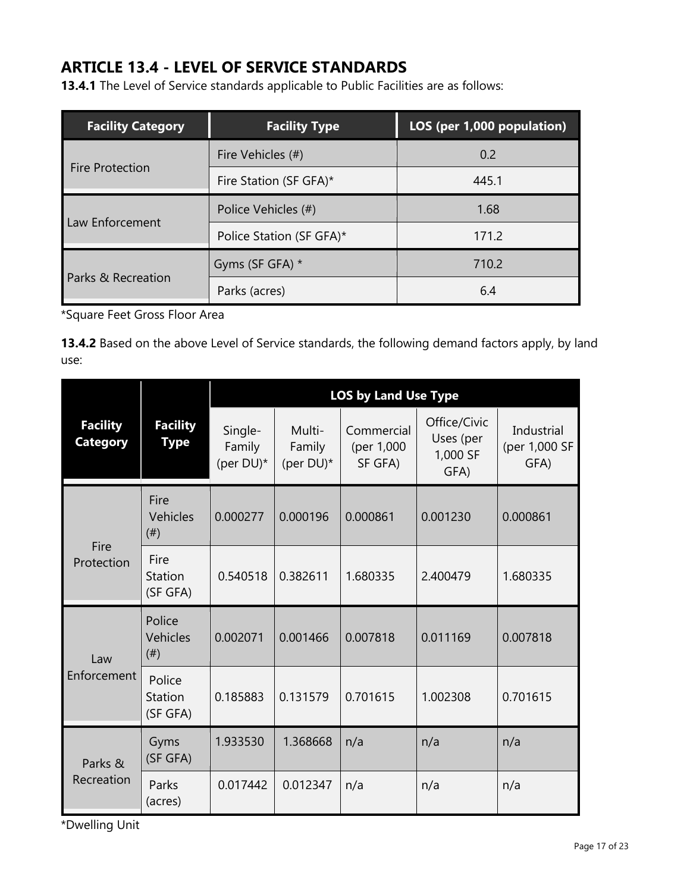# **ARTICLE 13.4 - LEVEL OF SERVICE STANDARDS**

**13.4.1** The Level of Service standards applicable to Public Facilities are as follows:

| <b>Facility Category</b> | <b>Facility Type</b>     | LOS (per 1,000 population) |  |  |
|--------------------------|--------------------------|----------------------------|--|--|
| <b>Fire Protection</b>   | Fire Vehicles (#)        | 0.2                        |  |  |
|                          | Fire Station (SF GFA)*   | 445.1                      |  |  |
| Law Enforcement          | Police Vehicles (#)      | 1.68                       |  |  |
|                          | Police Station (SF GFA)* | 171.2                      |  |  |
| Parks & Recreation       | Gyms (SF GFA) *          | 710.2                      |  |  |
|                          | Parks (acres)            | 6.4                        |  |  |

\*Square Feet Gross Floor Area

**13.4.2** Based on the above Level of Service standards, the following demand factors apply, by land use:

|                                    |                                 | <b>LOS by Land Use Type</b>    |                               |                                     |                                               |                                     |
|------------------------------------|---------------------------------|--------------------------------|-------------------------------|-------------------------------------|-----------------------------------------------|-------------------------------------|
| <b>Facility</b><br><b>Category</b> | <b>Facility</b><br><b>Type</b>  | Single-<br>Family<br>(per DU)* | Multi-<br>Family<br>(per DU)* | Commercial<br>(per 1,000<br>SF GFA) | Office/Civic<br>Uses (per<br>1,000 SF<br>GFA) | Industrial<br>(per 1,000 SF<br>GFA) |
| Fire<br>Protection                 | Fire<br><b>Vehicles</b><br>(# ) | 0.000277                       | 0.000196                      | 0.000861                            | 0.001230                                      | 0.000861                            |
|                                    | Fire<br>Station<br>(SF GFA)     | 0.540518                       | 0.382611                      | 1.680335                            | 2.400479                                      | 1.680335                            |
| Law<br>Enforcement                 | Police<br>Vehicles<br>(# )      | 0.002071                       | 0.001466                      | 0.007818                            | 0.011169                                      | 0.007818                            |
|                                    | Police<br>Station<br>(SF GFA)   | 0.185883                       | 0.131579                      | 0.701615                            | 1.002308                                      | 0.701615                            |
| Parks &<br>Recreation              | Gyms<br>(SF GFA)                | 1.933530                       | 1.368668                      | n/a                                 | n/a                                           | n/a                                 |
|                                    | Parks<br>(acres)                | 0.017442                       | 0.012347                      | n/a                                 | n/a                                           | n/a                                 |

\*Dwelling Unit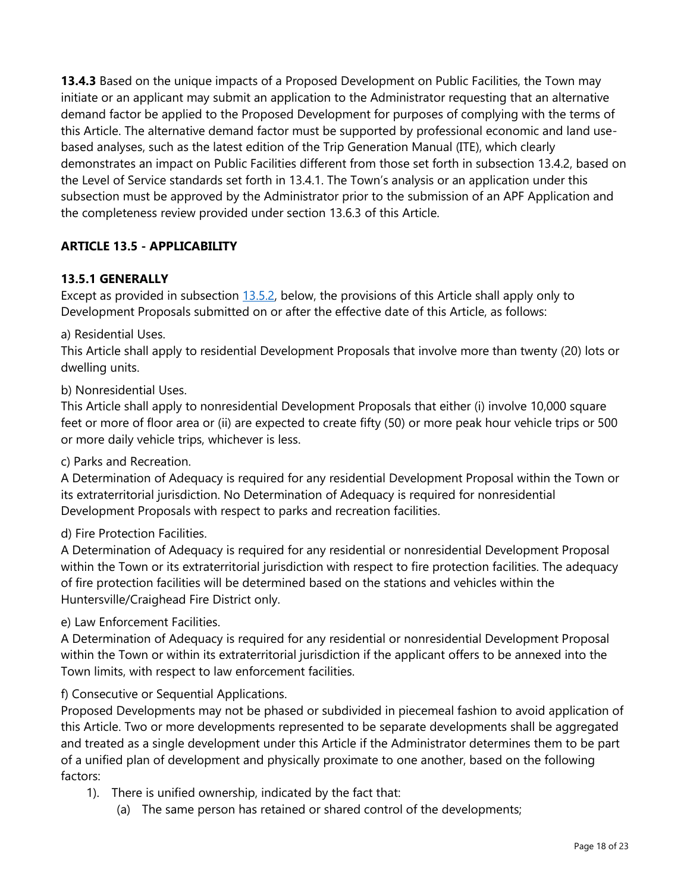**13.4.3** Based on the unique impacts of a Proposed Development on Public Facilities, the Town may initiate or an applicant may submit an application to the Administrator requesting that an alternative demand factor be applied to the Proposed Development for purposes of complying with the terms of this Article. The alternative demand factor must be supported by professional economic and land usebased analyses, such as the latest edition of the Trip Generation Manual (ITE), which clearly demonstrates an impact on Public Facilities different from those set forth in subsection 13.4.2, based on the Level of Service standards set forth in 13.4.1. The Town's analysis or an application under this subsection must be approved by the Administrator prior to the submission of an APF Application and the completeness review provided under section 13.6.3 of this Article.

# **ARTICLE 13.5 - APPLICABILITY**

### **13.5.1 GENERALLY**

Except as provided in subsection [13.5.2,](https://www.huntersville.org/1078/Article-135---Applicability) below, the provisions of this Article shall apply only to Development Proposals submitted on or after the effective date of this Article, as follows:

### a) Residential Uses.

This Article shall apply to residential Development Proposals that involve more than twenty (20) lots or dwelling units.

### b) Nonresidential Uses.

This Article shall apply to nonresidential Development Proposals that either (i) involve 10,000 square feet or more of floor area or (ii) are expected to create fifty (50) or more peak hour vehicle trips or 500 or more daily vehicle trips, whichever is less.

#### c) Parks and Recreation.

A Determination of Adequacy is required for any residential Development Proposal within the Town or its extraterritorial jurisdiction. No Determination of Adequacy is required for nonresidential Development Proposals with respect to parks and recreation facilities.

### d) Fire Protection Facilities.

A Determination of Adequacy is required for any residential or nonresidential Development Proposal within the Town or its extraterritorial jurisdiction with respect to fire protection facilities. The adequacy of fire protection facilities will be determined based on the stations and vehicles within the Huntersville/Craighead Fire District only.

#### e) Law Enforcement Facilities.

A Determination of Adequacy is required for any residential or nonresidential Development Proposal within the Town or within its extraterritorial jurisdiction if the applicant offers to be annexed into the Town limits, with respect to law enforcement facilities.

### f) Consecutive or Sequential Applications.

Proposed Developments may not be phased or subdivided in piecemeal fashion to avoid application of this Article. Two or more developments represented to be separate developments shall be aggregated and treated as a single development under this Article if the Administrator determines them to be part of a unified plan of development and physically proximate to one another, based on the following factors:

- 1). There is unified ownership, indicated by the fact that:
	- (a) The same person has retained or shared control of the developments;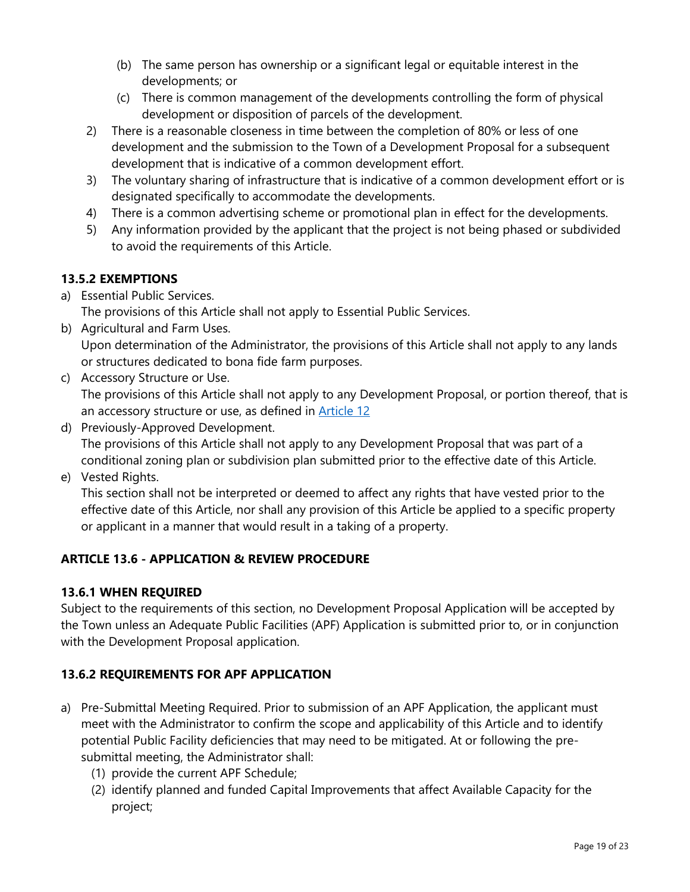- (b) The same person has ownership or a significant legal or equitable interest in the developments; or
- (c) There is common management of the developments controlling the form of physical development or disposition of parcels of the development.
- 2) There is a reasonable closeness in time between the completion of 80% or less of one development and the submission to the Town of a Development Proposal for a subsequent development that is indicative of a common development effort.
- 3) The voluntary sharing of infrastructure that is indicative of a common development effort or is designated specifically to accommodate the developments.
- 4) There is a common advertising scheme or promotional plan in effect for the developments.
- 5) Any information provided by the applicant that the project is not being phased or subdivided to avoid the requirements of this Article.

# **13.5.2 EXEMPTIONS**

a) Essential Public Services.

The provisions of this Article shall not apply to Essential Public Services.

- b) Agricultural and Farm Uses. Upon determination of the Administrator, the provisions of this Article shall not apply to any lands or structures dedicated to bona fide farm purposes.
- c) Accessory Structure or Use. The provisions of this Article shall not apply to any Development Proposal, or portion thereof, that is an accessory structure or use, as defined in [Article 12](https://www.huntersville.org/817/Article-12-Definitions-Rules-of-Construc)
- d) Previously-Approved Development. The provisions of this Article shall not apply to any Development Proposal that was part of a conditional zoning plan or subdivision plan submitted prior to the effective date of this Article.
- e) Vested Rights.

This section shall not be interpreted or deemed to affect any rights that have vested prior to the effective date of this Article, nor shall any provision of this Article be applied to a specific property or applicant in a manner that would result in a taking of a property.

# **ARTICLE 13.6 - APPLICATION & REVIEW PROCEDURE**

### **13.6.1 WHEN REQUIRED**

Subject to the requirements of this section, no Development Proposal Application will be accepted by the Town unless an Adequate Public Facilities (APF) Application is submitted prior to, or in conjunction with the Development Proposal application.

# **13.6.2 REQUIREMENTS FOR APF APPLICATION**

- a) Pre-Submittal Meeting Required. Prior to submission of an APF Application, the applicant must meet with the Administrator to confirm the scope and applicability of this Article and to identify potential Public Facility deficiencies that may need to be mitigated. At or following the presubmittal meeting, the Administrator shall:
	- (1) provide the current APF Schedule;
	- (2) identify planned and funded Capital Improvements that affect Available Capacity for the project;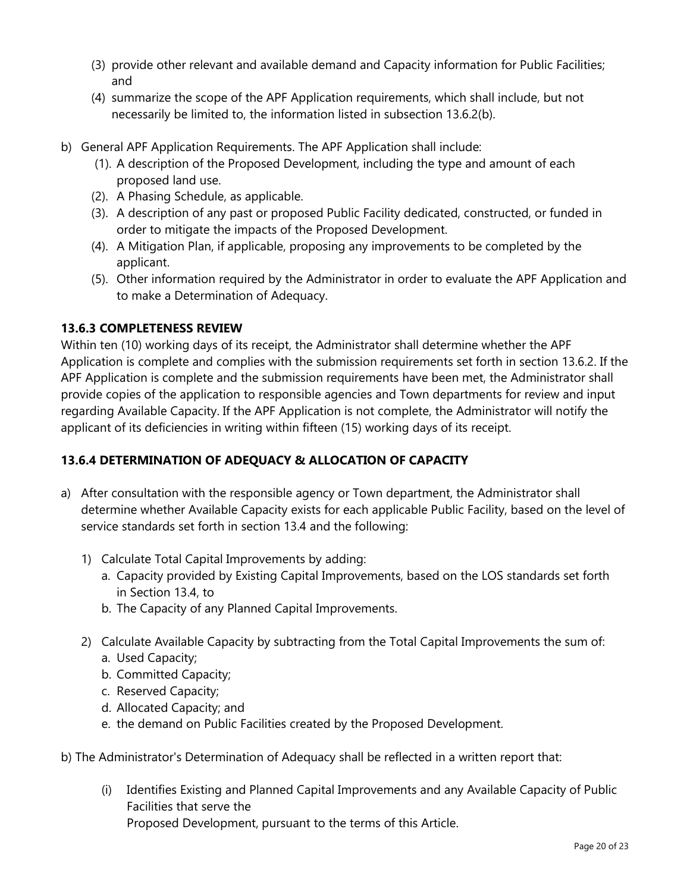- (3) provide other relevant and available demand and Capacity information for Public Facilities; and
- (4) summarize the scope of the APF Application requirements, which shall include, but not necessarily be limited to, the information listed in subsection 13.6.2(b).
- b) General APF Application Requirements. The APF Application shall include:
	- (1). A description of the Proposed Development, including the type and amount of each proposed land use.
	- (2). A Phasing Schedule, as applicable.
	- (3). A description of any past or proposed Public Facility dedicated, constructed, or funded in order to mitigate the impacts of the Proposed Development.
	- (4). A Mitigation Plan, if applicable, proposing any improvements to be completed by the applicant.
	- (5). Other information required by the Administrator in order to evaluate the APF Application and to make a Determination of Adequacy.

### **13.6.3 COMPLETENESS REVIEW**

Within ten (10) working days of its receipt, the Administrator shall determine whether the APF Application is complete and complies with the submission requirements set forth in section 13.6.2. If the APF Application is complete and the submission requirements have been met, the Administrator shall provide copies of the application to responsible agencies and Town departments for review and input regarding Available Capacity. If the APF Application is not complete, the Administrator will notify the applicant of its deficiencies in writing within fifteen (15) working days of its receipt.

### **13.6.4 DETERMINATION OF ADEQUACY & ALLOCATION OF CAPACITY**

- a) After consultation with the responsible agency or Town department, the Administrator shall determine whether Available Capacity exists for each applicable Public Facility, based on the level of service standards set forth in section 13.4 and the following:
	- 1) Calculate Total Capital Improvements by adding:
		- a. Capacity provided by Existing Capital Improvements, based on the LOS standards set forth in Section 13.4, to
		- b. The Capacity of any Planned Capital Improvements.
	- 2) Calculate Available Capacity by subtracting from the Total Capital Improvements the sum of: a. Used Capacity;
		- b. Committed Capacity;
		- c. Reserved Capacity;
		- d. Allocated Capacity; and
		- e. the demand on Public Facilities created by the Proposed Development.
- b) The Administrator's Determination of Adequacy shall be reflected in a written report that:
	- (i) Identifies Existing and Planned Capital Improvements and any Available Capacity of Public Facilities that serve the Proposed Development, pursuant to the terms of this Article.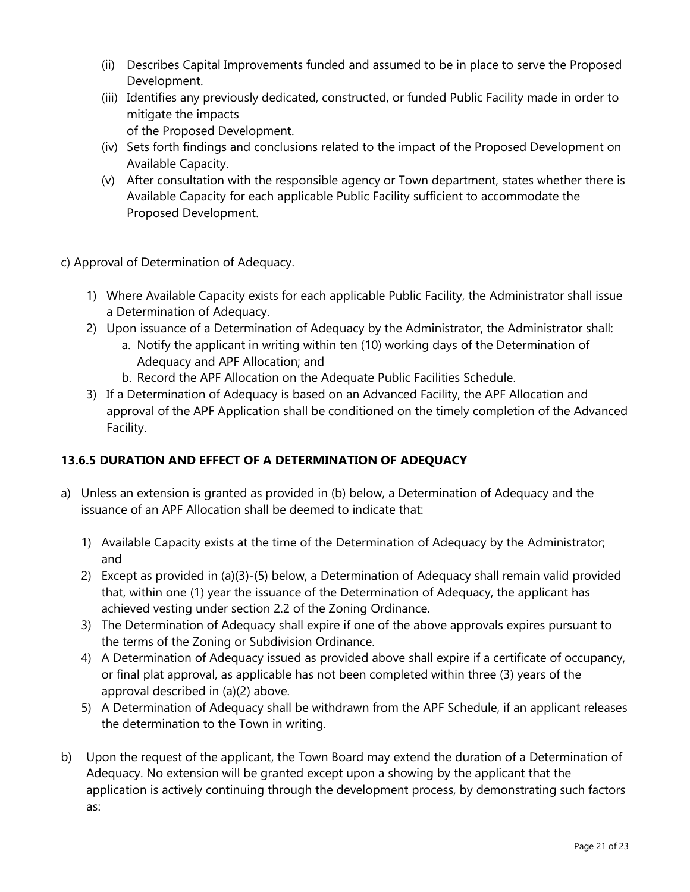- (ii) Describes Capital Improvements funded and assumed to be in place to serve the Proposed Development.
- (iii) Identifies any previously dedicated, constructed, or funded Public Facility made in order to mitigate the impacts of the Proposed Development.
- (iv) Sets forth findings and conclusions related to the impact of the Proposed Development on Available Capacity.
- (v) After consultation with the responsible agency or Town department, states whether there is Available Capacity for each applicable Public Facility sufficient to accommodate the Proposed Development.
- c) Approval of Determination of Adequacy.
	- 1) Where Available Capacity exists for each applicable Public Facility, the Administrator shall issue a Determination of Adequacy.
	- 2) Upon issuance of a Determination of Adequacy by the Administrator, the Administrator shall:
		- a. Notify the applicant in writing within ten (10) working days of the Determination of Adequacy and APF Allocation; and
		- b. Record the APF Allocation on the Adequate Public Facilities Schedule.
	- 3) If a Determination of Adequacy is based on an Advanced Facility, the APF Allocation and approval of the APF Application shall be conditioned on the timely completion of the Advanced Facility.

# **13.6.5 DURATION AND EFFECT OF A DETERMINATION OF ADEQUACY**

- a) Unless an extension is granted as provided in (b) below, a Determination of Adequacy and the issuance of an APF Allocation shall be deemed to indicate that:
	- 1) Available Capacity exists at the time of the Determination of Adequacy by the Administrator; and
	- 2) Except as provided in (a)(3)-(5) below, a Determination of Adequacy shall remain valid provided that, within one (1) year the issuance of the Determination of Adequacy, the applicant has achieved vesting under section 2.2 of the Zoning Ordinance.
	- 3) The Determination of Adequacy shall expire if one of the above approvals expires pursuant to the terms of the Zoning or Subdivision Ordinance.
	- 4) A Determination of Adequacy issued as provided above shall expire if a certificate of occupancy, or final plat approval, as applicable has not been completed within three (3) years of the approval described in (a)(2) above.
	- 5) A Determination of Adequacy shall be withdrawn from the APF Schedule, if an applicant releases the determination to the Town in writing.
- b) Upon the request of the applicant, the Town Board may extend the duration of a Determination of Adequacy. No extension will be granted except upon a showing by the applicant that the application is actively continuing through the development process, by demonstrating such factors as: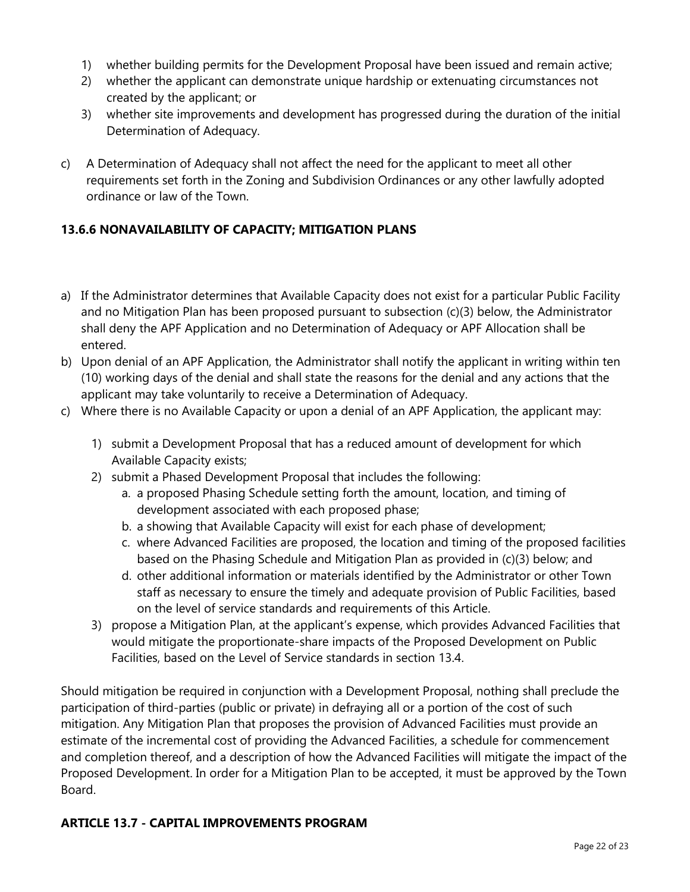- 1) whether building permits for the Development Proposal have been issued and remain active;
- 2) whether the applicant can demonstrate unique hardship or extenuating circumstances not created by the applicant; or
- 3) whether site improvements and development has progressed during the duration of the initial Determination of Adequacy.
- c) A Determination of Adequacy shall not affect the need for the applicant to meet all other requirements set forth in the Zoning and Subdivision Ordinances or any other lawfully adopted ordinance or law of the Town.

### **13.6.6 NONAVAILABILITY OF CAPACITY; MITIGATION PLANS**

- a) If the Administrator determines that Available Capacity does not exist for a particular Public Facility and no Mitigation Plan has been proposed pursuant to subsection (c)(3) below, the Administrator shall deny the APF Application and no Determination of Adequacy or APF Allocation shall be entered.
- b) Upon denial of an APF Application, the Administrator shall notify the applicant in writing within ten (10) working days of the denial and shall state the reasons for the denial and any actions that the applicant may take voluntarily to receive a Determination of Adequacy.
- c) Where there is no Available Capacity or upon a denial of an APF Application, the applicant may:
	- 1) submit a Development Proposal that has a reduced amount of development for which Available Capacity exists;
	- 2) submit a Phased Development Proposal that includes the following:
		- a. a proposed Phasing Schedule setting forth the amount, location, and timing of development associated with each proposed phase;
		- b. a showing that Available Capacity will exist for each phase of development;
		- c. where Advanced Facilities are proposed, the location and timing of the proposed facilities based on the Phasing Schedule and Mitigation Plan as provided in (c)(3) below; and
		- d. other additional information or materials identified by the Administrator or other Town staff as necessary to ensure the timely and adequate provision of Public Facilities, based on the level of service standards and requirements of this Article.
	- 3) propose a Mitigation Plan, at the applicant's expense, which provides Advanced Facilities that would mitigate the proportionate-share impacts of the Proposed Development on Public Facilities, based on the Level of Service standards in section 13.4.

Should mitigation be required in conjunction with a Development Proposal, nothing shall preclude the participation of third-parties (public or private) in defraying all or a portion of the cost of such mitigation. Any Mitigation Plan that proposes the provision of Advanced Facilities must provide an estimate of the incremental cost of providing the Advanced Facilities, a schedule for commencement and completion thereof, and a description of how the Advanced Facilities will mitigate the impact of the Proposed Development. In order for a Mitigation Plan to be accepted, it must be approved by the Town Board.

#### **ARTICLE 13.7 - CAPITAL IMPROVEMENTS PROGRAM**